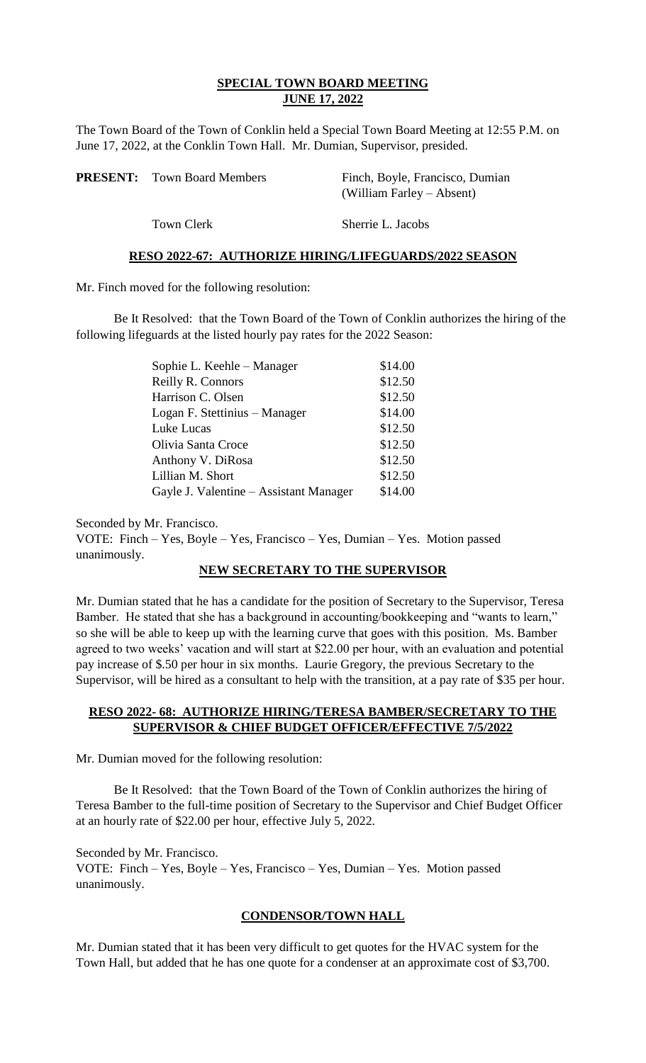## **SPECIAL TOWN BOARD MEETING JUNE 17, 2022**

The Town Board of the Town of Conklin held a Special Town Board Meeting at 12:55 P.M. on June 17, 2022, at the Conklin Town Hall. Mr. Dumian, Supervisor, presided.

| <b>PRESENT:</b> Town Board Members | Finch, Boyle, Francisco, Dumian<br>(William Farley – Absent) |
|------------------------------------|--------------------------------------------------------------|
| Town Clerk                         | Sherrie L. Jacobs                                            |

#### **RESO 2022-67: AUTHORIZE HIRING/LIFEGUARDS/2022 SEASON**

Mr. Finch moved for the following resolution:

Be It Resolved: that the Town Board of the Town of Conklin authorizes the hiring of the following lifeguards at the listed hourly pay rates for the 2022 Season:

| Sophie L. Keehle - Manager             | \$14.00 |
|----------------------------------------|---------|
| Reilly R. Connors                      | \$12.50 |
| Harrison C. Olsen                      | \$12.50 |
| Logan F. Stettinius – Manager          | \$14.00 |
| Luke Lucas                             | \$12.50 |
| Olivia Santa Croce                     | \$12.50 |
| Anthony V. DiRosa                      | \$12.50 |
| Lillian M. Short                       | \$12.50 |
| Gayle J. Valentine - Assistant Manager | \$14.00 |

Seconded by Mr. Francisco.

VOTE: Finch – Yes, Boyle – Yes, Francisco – Yes, Dumian – Yes. Motion passed unanimously.

## **NEW SECRETARY TO THE SUPERVISOR**

Mr. Dumian stated that he has a candidate for the position of Secretary to the Supervisor, Teresa Bamber. He stated that she has a background in accounting/bookkeeping and "wants to learn," so she will be able to keep up with the learning curve that goes with this position. Ms. Bamber agreed to two weeks' vacation and will start at \$22.00 per hour, with an evaluation and potential pay increase of \$.50 per hour in six months. Laurie Gregory, the previous Secretary to the Supervisor, will be hired as a consultant to help with the transition, at a pay rate of \$35 per hour.

### **RESO 2022- 68: AUTHORIZE HIRING/TERESA BAMBER/SECRETARY TO THE SUPERVISOR & CHIEF BUDGET OFFICER/EFFECTIVE 7/5/2022**

Mr. Dumian moved for the following resolution:

Be It Resolved: that the Town Board of the Town of Conklin authorizes the hiring of Teresa Bamber to the full-time position of Secretary to the Supervisor and Chief Budget Officer at an hourly rate of \$22.00 per hour, effective July 5, 2022.

Seconded by Mr. Francisco. VOTE: Finch – Yes, Boyle – Yes, Francisco – Yes, Dumian – Yes. Motion passed unanimously.

# **CONDENSOR/TOWN HALL**

Mr. Dumian stated that it has been very difficult to get quotes for the HVAC system for the Town Hall, but added that he has one quote for a condenser at an approximate cost of \$3,700.